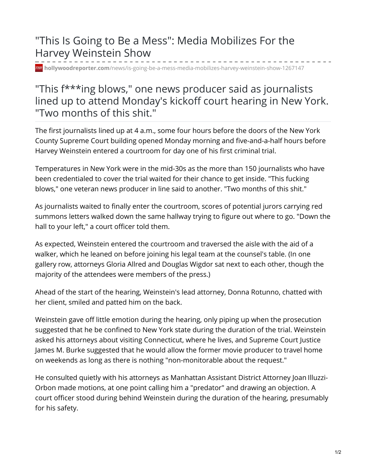## "This Is Going to Be a Mess": Media Mobilizes For the Harvey Weinstein Show

**hollywoodreporter.com**[/news/is-going-be-a-mess-media-mobilizes-harvey-weinstein-show-1267147](https://www.hollywoodreporter.com/news/is-going-be-a-mess-media-mobilizes-harvey-weinstein-show-1267147)

## "This f\*\*\*ing blows," one news producer said as journalists lined up to attend Monday's kickoff court hearing in New York. "Two months of this shit."

The first journalists lined up at 4 a.m., some four hours before the doors of the New York County Supreme Court building opened Monday morning and five-and-a-half hours before Harvey Weinstein entered a courtroom for day one of his first criminal trial.

Temperatures in New York were in the mid-30s as the more than 150 journalists who have been credentialed to cover the trial waited for their chance to get inside. "This fucking blows," one veteran news producer in line said to another. "Two months of this shit."

As journalists waited to finally enter the courtroom, scores of potential jurors carrying red summons letters walked down the same hallway trying to figure out where to go. "Down the hall to your left," a court officer told them.

As expected, Weinstein entered the courtroom and traversed the aisle with the aid of a walker, which he leaned on before joining his legal team at the counsel's table. (In one gallery row, attorneys Gloria Allred and Douglas Wigdor sat next to each other, though the majority of the attendees were members of the press.)

Ahead of the start of the hearing, Weinstein's lead attorney, Donna Rotunno, chatted with her client, smiled and patted him on the back.

Weinstein gave off little emotion during the hearing, only piping up when the prosecution suggested that he be confined to New York state during the duration of the trial. Weinstein asked his attorneys about visiting Connecticut, where he lives, and Supreme Court Justice James M. Burke suggested that he would allow the former movie producer to travel home on weekends as long as there is nothing "non-monitorable about the request."

He consulted quietly with his attorneys as Manhattan Assistant District Attorney Joan Illuzzi-Orbon made motions, at one point calling him a "predator" and drawing an objection. A court officer stood during behind Weinstein during the duration of the hearing, presumably for his safety.